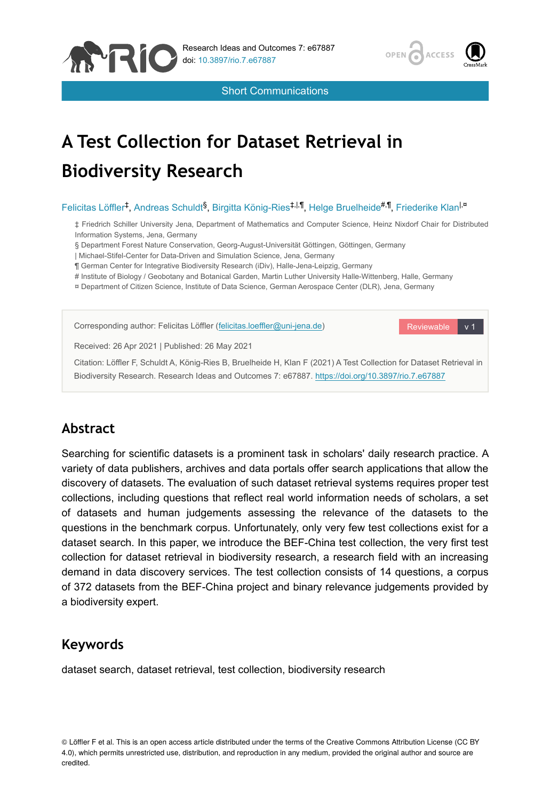



Short Communications

# **A Test Collection for Dataset Retrieval in Biodiversity Research**

### Felicitas Löffler<sup>‡</sup>, Andreas Schuldt<sup>§</sup>, Birgitta König-Ries<sup>‡,|,¶</sup>, Helge Bruelheide<sup>#,¶</sup>, Friederike Klan<sup>l,¤</sup>

‡ Friedrich Schiller University Jena, Department of Mathematics and Computer Science, Heinz Nixdorf Chair for Distributed Information Systems, Jena, Germany

§ Department Forest Nature Conservation, Georg-August-Universität Göttingen, Göttingen, Germany

| Michael-Stifel-Center for Data-Driven and Simulation Science, Jena, Germany

¶ German Center for Integrative Biodiversity Research (iDiv), Halle-Jena-Leipzig, Germany

# Institute of Biology / Geobotany and Botanical Garden, Martin Luther University Halle-Wittenberg, Halle, Germany

¤ Department of Citizen Science, Institute of Data Science, German Aerospace Center (DLR), Jena, Germany



# **Abstract**

Searching for scientific datasets is a prominent task in scholars' daily research practice. A variety of data publishers, archives and data portals offer search applications that allow the discovery of datasets. The evaluation of such dataset retrieval systems requires proper test collections, including questions that reflect real world information needs of scholars, a set of datasets and human judgements assessing the relevance of the datasets to the questions in the benchmark corpus. Unfortunately, only very few test collections exist for a dataset search. In this paper, we introduce the BEF-China test collection, the very first test collection for dataset retrieval in biodiversity research, a research field with an increasing demand in data discovery services. The test collection consists of 14 questions, a corpus of 372 datasets from the BEF-China project and binary relevance judgements provided by a biodiversity expert.

# **Keywords**

dataset search, dataset retrieval, test collection, biodiversity research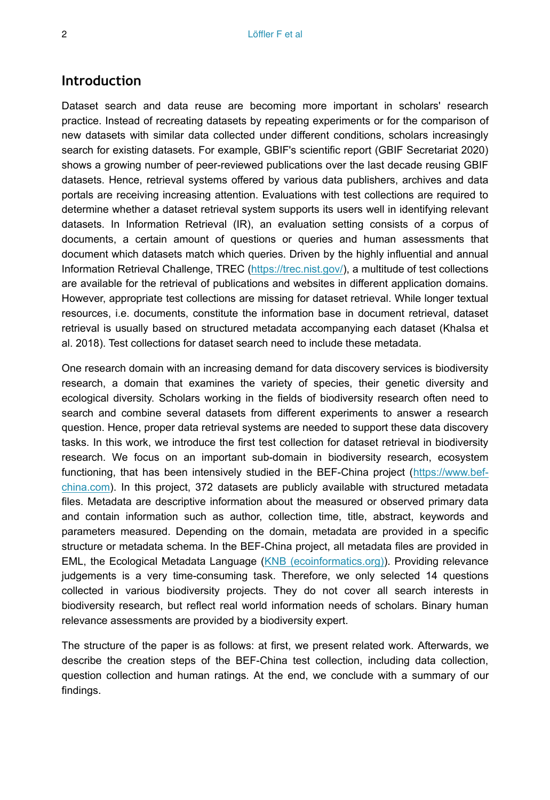## **Introduction**

Dataset search and data reuse are becoming more important in scholars' research practice. Instead of recreating datasets by repeating experiments or for the comparison of new datasets with similar data collected under different conditions, scholars increasingly search for existing datasets. For example, GBIF's scientific report (GBIF Secretariat 2020) shows a growing number of peer-reviewed publications over the last decade reusing GBIF datasets. Hence, retrieval systems offered by various data publishers, archives and data portals are receiving increasing attention. Evaluations with test collections are required to determine whether a dataset retrieval system supports its users well in identifying relevant datasets. In Information Retrieval (IR), an evaluation setting consists of a corpus of documents, a certain amount of questions or queries and human assessments that document which datasets match which queries. Driven by the highly influential and annual Information Retrieval Challenge, TREC [\(https://trec.nist.gov/\)](https://trec.nist.gov/), a multitude of test collections are available for the retrieval of publications and websites in different application domains. However, appropriate test collections are missing for dataset retrieval. While longer textual resources, i.e. documents, constitute the information base in document retrieval, dataset retrieval is usually based on structured metadata accompanying each dataset (Khalsa et al. 2018). Test collections for dataset search need to include these metadata.

One research domain with an increasing demand for data discovery services is biodiversity research, a domain that examines the variety of species, their genetic diversity and ecological diversity. Scholars working in the fields of biodiversity research often need to search and combine several datasets from different experiments to answer a research question. Hence, proper data retrieval systems are needed to support these data discovery tasks. In this work, we introduce the first test collection for dataset retrieval in biodiversity research. We focus on an important sub-domain in biodiversity research, ecosystem functioning, that has been intensively studied in the BEF-China project [\(https://www.bef](https://www.bef-china.com)[china.com](https://www.bef-china.com)). In this project, 372 datasets are publicly available with structured metadata files. Metadata are descriptive information about the measured or observed primary data and contain information such as author, collection time, title, abstract, keywords and parameters measured. Depending on the domain, metadata are provided in a specific structure or metadata schema. In the BEF-China project, all metadata files are provided in EML, the Ecological Metadata Language ([KNB \(ecoinformatics.org\)](https://knb.ecoinformatics.org/tools#eml)). Providing relevance judgements is a very time-consuming task. Therefore, we only selected 14 questions collected in various biodiversity projects. They do not cover all search interests in biodiversity research, but reflect real world information needs of scholars. Binary human relevance assessments are provided by a biodiversity expert.

The structure of the paper is as follows: at first, we present related work. Afterwards, we describe the creation steps of the BEF-China test collection, including data collection, question collection and human ratings. At the end, we conclude with a summary of our findings.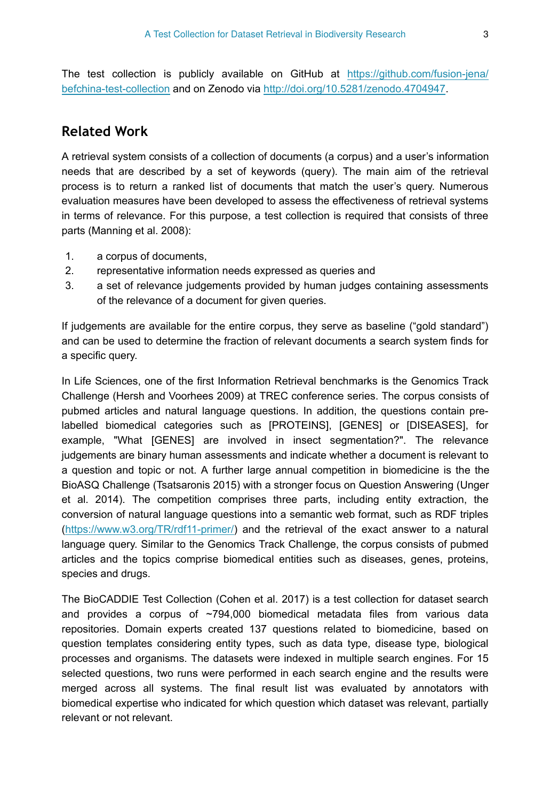The test collection is publicly available on GitHub at [https://github.com/fusion-jena/](https://github.com/fusion-jena/befchina-test-collection) [befchina-test-collection](https://github.com/fusion-jena/befchina-test-collection) and on Zenodo via [http://doi.org/10.5281/zenodo.4704947.](http://doi.org/10.5281/zenodo.4704947)

# **Related Work**

A retrieval system consists of a collection of documents (a corpus) and a user's information needs that are described by a set of keywords (query). The main aim of the retrieval process is to return a ranked list of documents that match the user's query. Numerous evaluation measures have been developed to assess the effectiveness of retrieval systems in terms of relevance. For this purpose, a test collection is required that consists of three parts (Manning et al. 2008):

- 1. a corpus of documents,
- 2. representative information needs expressed as queries and
- 3. a set of relevance judgements provided by human judges containing assessments of the relevance of a document for given queries.

If judgements are available for the entire corpus, they serve as baseline ("gold standard") and can be used to determine the fraction of relevant documents a search system finds for a specific query.

In Life Sciences, one of the first Information Retrieval benchmarks is the Genomics Track Challenge (Hersh and Voorhees 2009) at TREC conference series. The corpus consists of pubmed articles and natural language questions. In addition, the questions contain prelabelled biomedical categories such as [PROTEINS], [GENES] or [DISEASES], for example, "What [GENES] are involved in insect segmentation?". The relevance judgements are binary human assessments and indicate whether a document is relevant to a question and topic or not. A further large annual competition in biomedicine is the the BioASQ Challenge (Tsatsaronis 2015) with a stronger focus on Question Answering (Unger et al. 2014). The competition comprises three parts, including entity extraction, the conversion of natural language questions into a semantic web format, such as RDF triples [\(https://www.w3.org/TR/rdf11-primer/\)](https://www.w3.org/TR/rdf11-primer/) and the retrieval of the exact answer to a natural language query. Similar to the Genomics Track Challenge, the corpus consists of pubmed articles and the topics comprise biomedical entities such as diseases, genes, proteins, species and drugs.

The BioCADDIE Test Collection (Cohen et al. 2017) is a test collection for dataset search and provides a corpus of  $\sim$ 794,000 biomedical metadata files from various data repositories. Domain experts created 137 questions related to biomedicine, based on question templates considering entity types, such as data type, disease type, biological processes and organisms. The datasets were indexed in multiple search engines. For 15 selected questions, two runs were performed in each search engine and the results were merged across all systems. The final result list was evaluated by annotators with biomedical expertise who indicated for which question which dataset was relevant, partially relevant or not relevant.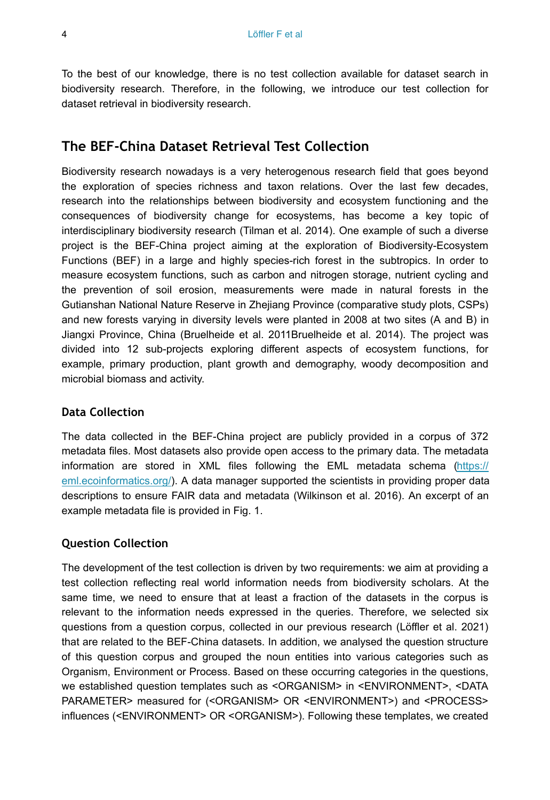To the best of our knowledge, there is no test collection available for dataset search in biodiversity research. Therefore, in the following, we introduce our test collection for dataset retrieval in biodiversity research.

# **The BEF-China Dataset Retrieval Test Collection**

Biodiversity research nowadays is a very heterogenous research field that goes beyond the exploration of species richness and taxon relations. Over the last few decades, research into the relationships between biodiversity and ecosystem functioning and the consequences of biodiversity change for ecosystems, has become a key topic of interdisciplinary biodiversity research (Tilman et al. 2014). One example of such a diverse project is the BEF-China project aiming at the exploration of Biodiversity-Ecosystem Functions (BEF) in a large and highly species-rich forest in the subtropics. In order to measure ecosystem functions, such as carbon and nitrogen storage, nutrient cycling and the prevention of soil erosion, measurements were made in natural forests in the Gutianshan National Nature Reserve in Zhejiang Province (comparative study plots, CSPs) and new forests varying in diversity levels were planted in 2008 at two sites (A and B) in Jiangxi Province, China (Bruelheide et al. 2011Bruelheide et al. 2014). The project was divided into 12 sub-projects exploring different aspects of ecosystem functions, for example, primary production, plant growth and demography, woody decomposition and microbial biomass and activity.

## **Data Collection**

The data collected in the BEF-China project are publicly provided in a corpus of 372 metadata files. Most datasets also provide open access to the primary data. The metadata information are stored in XML files following the EML metadata schema [\(https://](https://eml.ecoinformatics.org/) [eml.ecoinformatics.org/](https://eml.ecoinformatics.org/)). A data manager supported the scientists in providing proper data descriptions to ensure FAIR data and metadata (Wilkinson et al. 2016). An excerpt of an example metadata file is provided in Fig. 1.

## **Question Collection**

The development of the test collection is driven by two requirements: we aim at providing a test collection reflecting real world information needs from biodiversity scholars. At the same time, we need to ensure that at least a fraction of the datasets in the corpus is relevant to the information needs expressed in the queries. Therefore, we selected six questions from a question corpus, collected in our previous research (Löffler et al. 2021) that are related to the BEF-China datasets. In addition, we analysed the question structure of this question corpus and grouped the noun entities into various categories such as Organism, Environment or Process. Based on these occurring categories in the questions, we established question templates such as <ORGANISM> in <ENVIRONMENT>, <DATA PARAMETER> measured for (<ORGANISM> OR <ENVIRONMENT>) and <PROCESS> influences (<ENVIRONMENT> OR <ORGANISM>). Following these templates, we created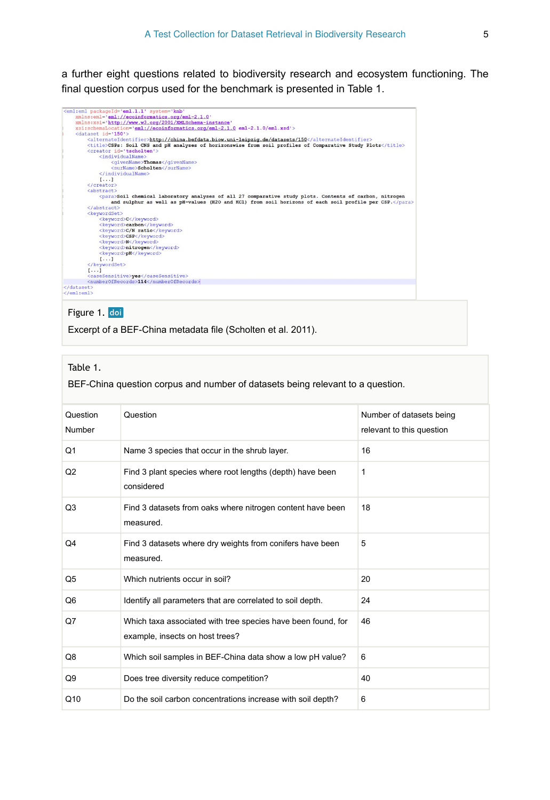a further eight questions related to biodiversity research and ecosystem functioning. The final question corpus used for the benchmark is presented in Table 1.



#### Figure 1. doi

Excerpt of a BEF-China metadata file (Scholten et al. 2011).

#### Table 1.

BEF-China question corpus and number of datasets being relevant to a question.

| Question<br>Number | Question                                                                                        | Number of datasets being<br>relevant to this question |
|--------------------|-------------------------------------------------------------------------------------------------|-------------------------------------------------------|
| Q1                 | Name 3 species that occur in the shrub layer.                                                   | 16                                                    |
| Q2                 | Find 3 plant species where root lengths (depth) have been<br>considered                         | 1                                                     |
| Q <sub>3</sub>     | Find 3 datasets from oaks where nitrogen content have been<br>measured.                         | 18                                                    |
| Q4                 | Find 3 datasets where dry weights from conifers have been<br>measured.                          | 5                                                     |
| Q5                 | Which nutrients occur in soil?                                                                  | 20                                                    |
| Q6                 | Identify all parameters that are correlated to soil depth.                                      | 24                                                    |
| $Q$ 7              | Which taxa associated with tree species have been found, for<br>example, insects on host trees? | 46                                                    |
| Q8                 | Which soil samples in BEF-China data show a low pH value?                                       | 6                                                     |
| Q9                 | Does tree diversity reduce competition?                                                         | 40                                                    |
| Q <sub>10</sub>    | Do the soil carbon concentrations increase with soil depth?                                     | 6                                                     |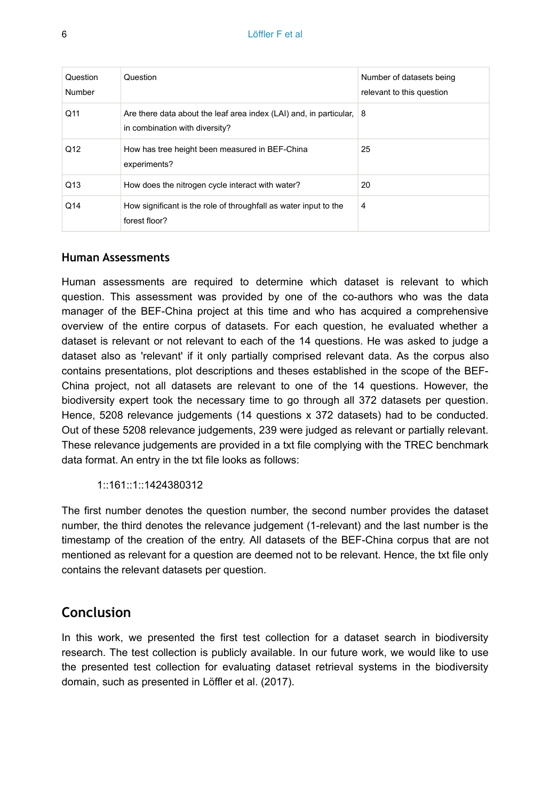| Question<br>Number | Question                                                                                               | Number of datasets being<br>relevant to this question |
|--------------------|--------------------------------------------------------------------------------------------------------|-------------------------------------------------------|
| Q11                | Are there data about the leaf area index (LAI) and, in particular, 8<br>in combination with diversity? |                                                       |
| Q <sub>12</sub>    | How has tree height been measured in BEF-China<br>experiments?                                         | 25                                                    |
| Q13                | How does the nitrogen cycle interact with water?                                                       | 20                                                    |
| Q14                | How significant is the role of throughfall as water input to the<br>forest floor?                      | 4                                                     |

#### **Human Assessments**

Human assessments are required to determine which dataset is relevant to which question. This assessment was provided by one of the co-authors who was the data manager of the BEF-China project at this time and who has acquired a comprehensive overview of the entire corpus of datasets. For each question, he evaluated whether a dataset is relevant or not relevant to each of the 14 questions. He was asked to judge a dataset also as 'relevant' if it only partially comprised relevant data. As the corpus also contains presentations, plot descriptions and theses established in the scope of the BEF-China project, not all datasets are relevant to one of the 14 questions. However, the biodiversity expert took the necessary time to go through all 372 datasets per question. Hence, 5208 relevance judgements (14 questions x 372 datasets) had to be conducted. Out of these 5208 relevance judgements, 239 were judged as relevant or partially relevant. These relevance judgements are provided in a txt file complying with the TREC benchmark data format. An entry in the txt file looks as follows:

1::161::1::1424380312

The first number denotes the question number, the second number provides the dataset number, the third denotes the relevance judgement (1-relevant) and the last number is the timestamp of the creation of the entry. All datasets of the BEF-China corpus that are not mentioned as relevant for a question are deemed not to be relevant. Hence, the txt file only contains the relevant datasets per question.

# **Conclusion**

In this work, we presented the first test collection for a dataset search in biodiversity research. The test collection is publicly available. In our future work, we would like to use the presented test collection for evaluating dataset retrieval systems in the biodiversity domain, such as presented in Löffler et al. (2017).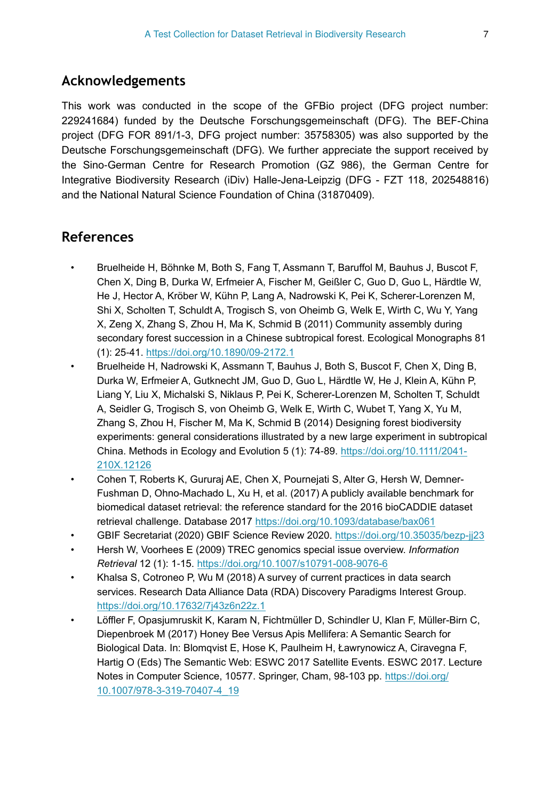# **Acknowledgements**

This work was conducted in the scope of the GFBio project (DFG project number: 229241684) funded by the Deutsche Forschungsgemeinschaft (DFG). The BEF-China project (DFG FOR 891/1-3, DFG project number: 35758305) was also supported by the Deutsche Forschungsgemeinschaft (DFG). We further appreciate the support received by the Sino‐German Centre for Research Promotion (GZ 986), the German Centre for Integrative Biodiversity Research (iDiv) Halle-Jena-Leipzig (DFG - FZT 118, 202548816) and the National Natural Science Foundation of China (31870409).

# **References**

- Bruelheide H, Böhnke M, Both S, Fang T, Assmann T, Baruffol M, Bauhus J, Buscot F, Chen X, Ding B, Durka W, Erfmeier A, Fischer M, Geißler C, Guo D, Guo L, Härdtle W, He J, Hector A, Kröber W, Kühn P, Lang A, Nadrowski K, Pei K, Scherer-Lorenzen M, Shi X, Scholten T, Schuldt A, Trogisch S, von Oheimb G, Welk E, Wirth C, Wu Y, Yang X, Zeng X, Zhang S, Zhou H, Ma K, Schmid B (2011) Community assembly during secondary forest succession in a Chinese subtropical forest. Ecological Monographs 81 (1): 25‑41.<https://doi.org/10.1890/09-2172.1>
- Bruelheide H, Nadrowski K, Assmann T, Bauhus J, Both S, Buscot F, Chen X, Ding B, Durka W, Erfmeier A, Gutknecht JM, Guo D, Guo L, Härdtle W, He J, Klein A, Kühn P, Liang Y, Liu X, Michalski S, Niklaus P, Pei K, Scherer-Lorenzen M, Scholten T, Schuldt A, Seidler G, Trogisch S, von Oheimb G, Welk E, Wirth C, Wubet T, Yang X, Yu M, Zhang S, Zhou H, Fischer M, Ma K, Schmid B (2014) Designing forest biodiversity experiments: general considerations illustrated by a new large experiment in subtropical China. Methods in Ecology and Evolution 5 (1): 74‑89. [https://doi.org/10.1111/2041-](https://doi.org/10.1111/2041-210X.12126) [210X.12126](https://doi.org/10.1111/2041-210X.12126)
- Cohen T, Roberts K, Gururaj AE, Chen X, Pournejati S, Alter G, Hersh W, Demner-Fushman D, Ohno-Machado L, Xu H, et al. (2017) A publicly available benchmark for biomedical dataset retrieval: the reference standard for the 2016 bioCADDIE dataset retrieval challenge. Database 2017 <https://doi.org/10.1093/database/bax061>
- GBIF Secretariat (2020) GBIF Science Review 2020. <https://doi.org/10.35035/bezp-jj23>
- Hersh W, Voorhees E (2009) TREC genomics special issue overview. *Information Retrieval* 12 (1): 1‑15. <https://doi.org/10.1007/s10791-008-9076-6>
- Khalsa S, Cotroneo P, Wu M (2018) A survey of current practices in data search services. Research Data Alliance Data (RDA) Discovery Paradigms Interest Group. <https://doi.org/10.17632/7j43z6n22z.1>
- Löffler F, Opasjumruskit K, Karam N, Fichtmüller D, Schindler U, Klan F, Müller-Birn C, Diepenbroek M (2017) Honey Bee Versus Apis Mellifera: A Semantic Search for Biological Data. In: Blomqvist E, Hose K, Paulheim H, Ławrynowicz A, Ciravegna F, Hartig O (Eds) The Semantic Web: ESWC 2017 Satellite Events. ESWC 2017. Lecture Notes in Computer Science, 10577. Springer, Cham, 98-103 pp. [https://doi.org/](https://doi.org/10.1007/978-3-319-70407-4_19) [10.1007/978-3-319-70407-4\\_19](https://doi.org/10.1007/978-3-319-70407-4_19)